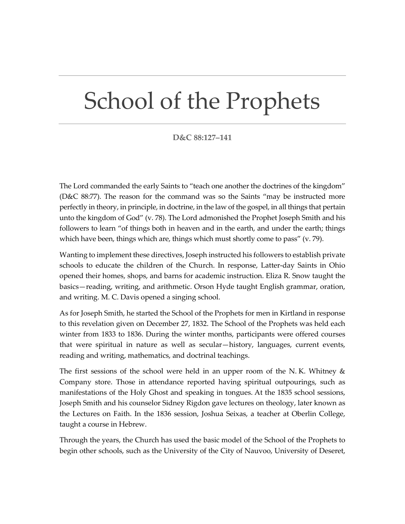## School of the Prophets

## **D&C 88:127–141**

The Lord commanded the early Saints to "teach one another the doctrines of the kingdom" (D&C 88:77). The reason for the command was so the Saints "may be instructed more perfectly in theory, in principle, in doctrine, in the law of the gospel, in all things that pertain unto the kingdom of God" (v. 78). The Lord admonished the Prophet Joseph Smith and his followers to learn "of things both in heaven and in the earth, and under the earth; things which have been, things which are, things which must shortly come to pass" (v. 79).

Wanting to implement these directives, Joseph instructed his followers to establish private schools to educate the children of the Church. In response, Latter-day Saints in Ohio opened their homes, shops, and barns for academic instruction. Eliza R. Snow taught the basics—reading, writing, and arithmetic. Orson Hyde taught English grammar, oration, and writing. M. C. Davis opened a singing school.

As for Joseph Smith, he started the School of the Prophets for men in Kirtland in response to this revelation given on December 27, 1832. The School of the Prophets was held each winter from 1833 to 1836. During the winter months, participants were offered courses that were spiritual in nature as well as secular—history, languages, current events, reading and writing, mathematics, and doctrinal teachings.

The first sessions of the school were held in an upper room of the N.K. Whitney  $\&$ Company store. Those in attendance reported having spiritual outpourings, such as manifestations of the Holy Ghost and speaking in tongues. At the 1835 school sessions, Joseph Smith and his counselor Sidney Rigdon gave lectures on theology, later known as the Lectures on Faith. In the 1836 session, Joshua Seixas, a teacher at Oberlin College, taught a course in Hebrew.

Through the years, the Church has used the basic model of the School of the Prophets to begin other schools, such as the University of the City of Nauvoo, University of Deseret,